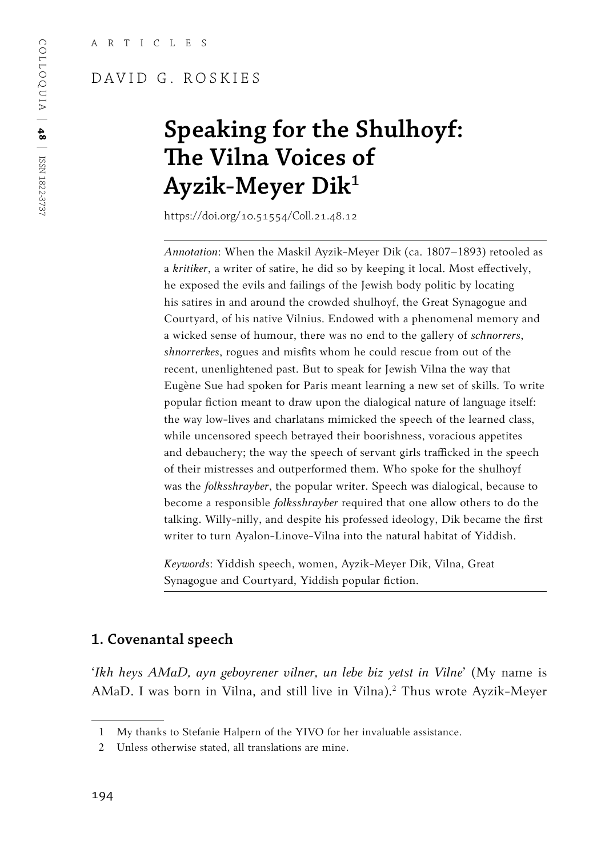### DAVID G. ROSKIES

# **Speaking for the Shulhoyf: The Vilna Voices of Ayzik-Meyer Dik1**

https://doi.org/10.51554/Coll.21.48.12

*Annotation*: When the Maskil Ayzik-Meyer Dik (ca. 1807–1893) retooled as a *kritiker*, a writer of satire, he did so by keeping it local. Most effectively, he exposed the evils and failings of the Jewish body politic by locating his satires in and around the crowded shulhoyf, the Great Synagogue and Courtyard, of his native Vilnius. Endowed with a phenomenal memory and a wicked sense of humour, there was no end to the gallery of *schnorrers*, *shnorrerkes*, rogues and misfits whom he could rescue from out of the recent, unenlightened past. But to speak for Jewish Vilna the way that Eugène Sue had spoken for Paris meant learning a new set of skills. To write popular fiction meant to draw upon the dialogical nature of language itself: the way low-lives and charlatans mimicked the speech of the learned class, while uncensored speech betrayed their boorishness, voracious appetites and debauchery; the way the speech of servant girls trafficked in the speech of their mistresses and outperformed them. Who spoke for the shulhoyf was the *folksshrayber*, the popular writer. Speech was dialogical, because to become a responsible *folksshrayber* required that one allow others to do the talking. Willy-nilly, and despite his professed ideology, Dik became the first writer to turn Ayalon-Linove-Vilna into the natural habitat of Yiddish.

*Keywords*: Yiddish speech, women, Ayzik-Meyer Dik, Vilna, Great Synagogue and Courtyard, Yiddish popular fiction.

#### **1. Covenantal speech**

'*Ikh heys AMaD, ayn geboyrener vilner, un lebe biz yetst in Vilne*' (My name is AMaD. I was born in Vilna, and still live in Vilna).<sup>2</sup> Thus wrote Ayzik-Meyer

<sup>1</sup> My thanks to Stefanie Halpern of the YIVO for her invaluable assistance.

<sup>2</sup> Unless otherwise stated, all translations are mine.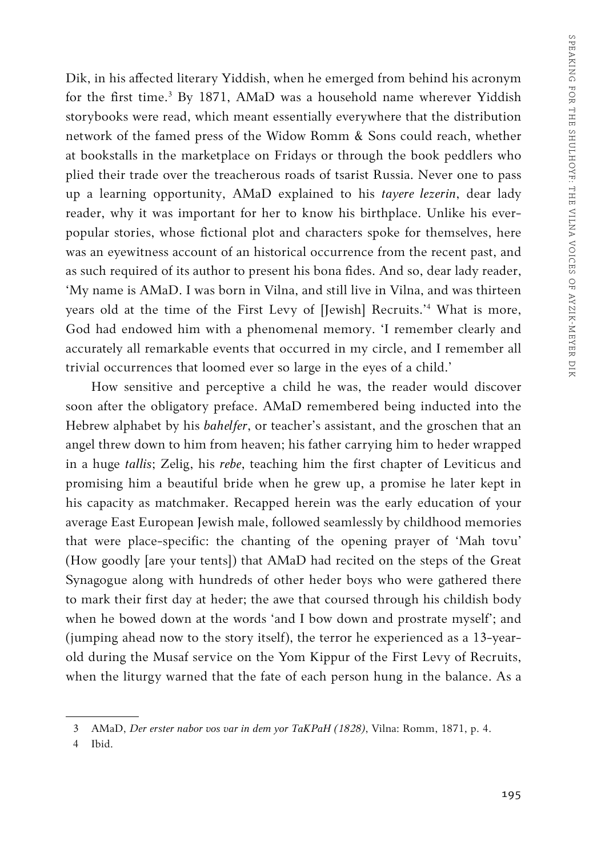Dik, in his affected literary Yiddish, when he emerged from behind his acronym for the first time.<sup>3</sup> By 1871, AMaD was a household name wherever Yiddish storybooks were read, which meant essentially everywhere that the distribution network of the famed press of the Widow Romm & Sons could reach, whether at bookstalls in the marketplace on Fridays or through the book peddlers who plied their trade over the treacherous roads of tsarist Russia. Never one to pass up a learning opportunity, AMaD explained to his *tayere lezerin*, dear lady reader, why it was important for her to know his birthplace. Unlike his everpopular stories, whose fictional plot and characters spoke for themselves, here was an eyewitness account of an historical occurrence from the recent past, and as such required of its author to present his bona fides. And so, dear lady reader, 'My name is AMaD. I was born in Vilna, and still live in Vilna, and was thirteen years old at the time of the First Levy of [Jewish] Recruits.'4 What is more, God had endowed him with a phenomenal memory. 'I remember clearly and accurately all remarkable events that occurred in my circle, and I remember all trivial occurrences that loomed ever so large in the eyes of a child.'

How sensitive and perceptive a child he was, the reader would discover soon after the obligatory preface. AMaD remembered being inducted into the Hebrew alphabet by his *bahelfer*, or teacher's assistant, and the groschen that an angel threw down to him from heaven; his father carrying him to heder wrapped in a huge *tallis*; Zelig, his *rebe*, teaching him the first chapter of Leviticus and promising him a beautiful bride when he grew up, a promise he later kept in his capacity as matchmaker. Recapped herein was the early education of your average East European Jewish male, followed seamlessly by childhood memories that were place-specific: the chanting of the opening prayer of 'Mah tovu' (How goodly [are your tents]) that AMaD had recited on the steps of the Great Synagogue along with hundreds of other heder boys who were gathered there to mark their first day at heder; the awe that coursed through his childish body when he bowed down at the words 'and I bow down and prostrate myself'; and (jumping ahead now to the story itself), the terror he experienced as a 13-yearold during the Musaf service on the Yom Kippur of the First Levy of Recruits, when the liturgy warned that the fate of each person hung in the balance. As a

4 Ibid.

<sup>3</sup> AMaD, *Der erster nabor vos var in dem yor TaKPaH (1828)*, Vilna: Romm, 1871, p. 4.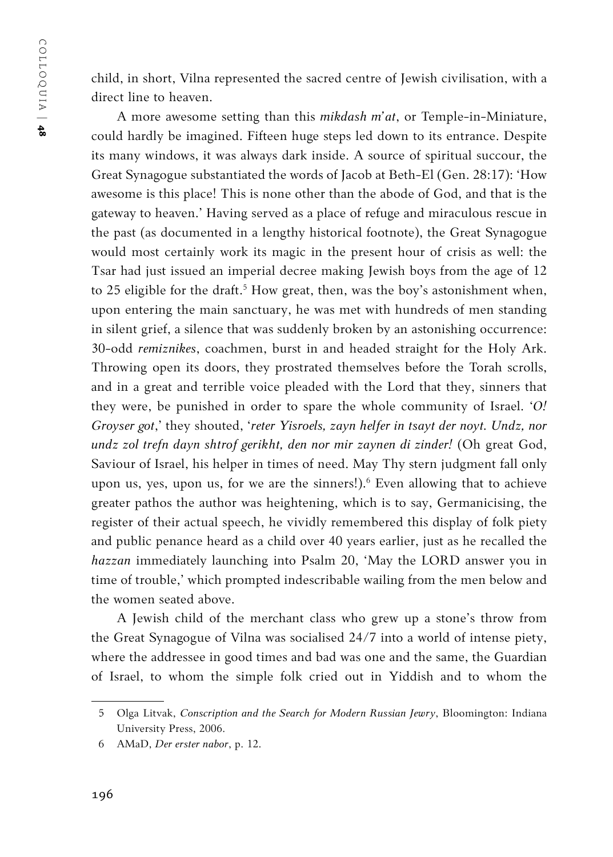child, in short, Vilna represented the sacred centre of Jewish civilisation, with a direct line to heaven.

A more awesome setting than this *mikdash m'at*, or Temple-in-Miniature, could hardly be imagined. Fifteen huge steps led down to its entrance. Despite its many windows, it was always dark inside. A source of spiritual succour, the Great Synagogue substantiated the words of Jacob at Beth-El (Gen. 28:17): 'How awesome is this place! This is none other than the abode of God, and that is the gateway to heaven.' Having served as a place of refuge and miraculous rescue in the past (as documented in a lengthy historical footnote), the Great Synagogue would most certainly work its magic in the present hour of crisis as well: the Tsar had just issued an imperial decree making Jewish boys from the age of 12 to 25 eligible for the draft.<sup>5</sup> How great, then, was the boy's astonishment when, upon entering the main sanctuary, he was met with hundreds of men standing in silent grief, a silence that was suddenly broken by an astonishing occurrence: 30-odd *remiznikes*, coachmen, burst in and headed straight for the Holy Ark. Throwing open its doors, they prostrated themselves before the Torah scrolls, and in a great and terrible voice pleaded with the Lord that they, sinners that they were, be punished in order to spare the whole community of Israel. '*O! Groyser got*,' they shouted, '*reter Yisroels, zayn helfer in tsayt der noyt. Undz, nor undz zol trefn dayn shtrof gerikht, den nor mir zaynen di zinder!* (Oh great God, Saviour of Israel, his helper in times of need. May Thy stern judgment fall only upon us, yes, upon us, for we are the sinners!).<sup>6</sup> Even allowing that to achieve greater pathos the author was heightening, which is to say, Germanicising, the register of their actual speech, he vividly remembered this display of folk piety and public penance heard as a child over 40 years earlier, just as he recalled the *hazzan* immediately launching into Psalm 20, 'May the LORD answer you in time of trouble,' which prompted indescribable wailing from the men below and the women seated above.

A Jewish child of the merchant class who grew up a stone's throw from the Great Synagogue of Vilna was socialised 24/7 into a world of intense piety, where the addressee in good times and bad was one and the same, the Guardian of Israel, to whom the simple folk cried out in Yiddish and to whom the

<sup>5</sup> Olga Litvak, *Conscription and the Search for Modern Russian Jewry*, Bloomington: Indiana University Press, 2006.

<sup>6</sup> AMaD, *Der erster nabor*, p. 12.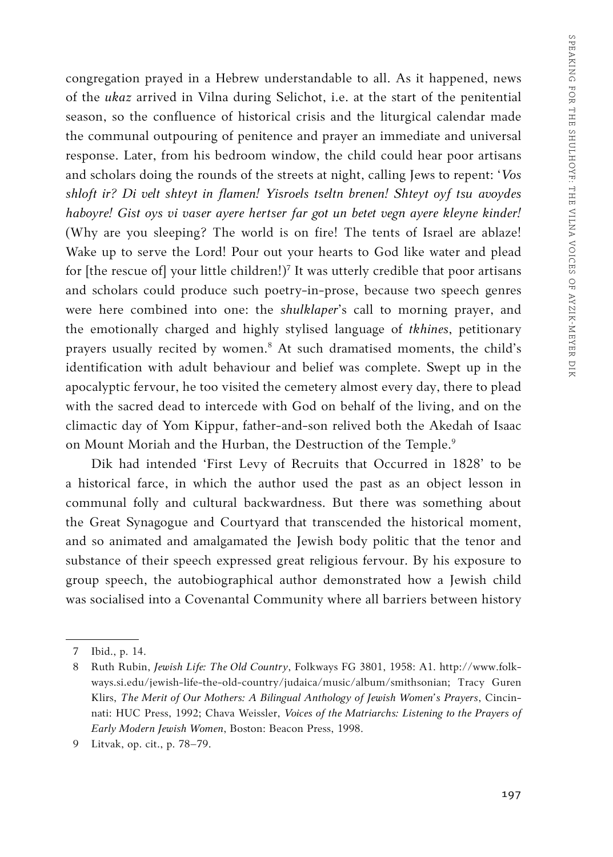congregation prayed in a Hebrew understandable to all. As it happened, news of the *ukaz* arrived in Vilna during Selichot, i.e. at the start of the penitential season, so the confluence of historical crisis and the liturgical calendar made the communal outpouring of penitence and prayer an immediate and universal response. Later, from his bedroom window, the child could hear poor artisans and scholars doing the rounds of the streets at night, calling Jews to repent: '*Vos shloft ir? Di velt shteyt in flamen! Yisroels tseltn brenen! Shteyt oyf tsu avoydes haboyre! Gist oys vi vaser ayere hertser far got un betet vegn ayere kleyne kinder!* (Why are you sleeping? The world is on fire! The tents of Israel are ablaze! Wake up to serve the Lord! Pour out your hearts to God like water and plead for [the rescue of] your little children!)7 It was utterly credible that poor artisans and scholars could produce such poetry-in-prose, because two speech genres were here combined into one: the *shulklaper*'s call to morning prayer, and the emotionally charged and highly stylised language of *tkhines*, petitionary prayers usually recited by women.8 At such dramatised moments, the child's identification with adult behaviour and belief was complete. Swept up in the apocalyptic fervour, he too visited the cemetery almost every day, there to plead with the sacred dead to intercede with God on behalf of the living, and on the climactic day of Yom Kippur, father-and-son relived both the Akedah of Isaac on Mount Moriah and the Hurban, the Destruction of the Temple.<sup>9</sup>

Dik had intended 'First Levy of Recruits that Occurred in 1828' to be a historical farce, in which the author used the past as an object lesson in communal folly and cultural backwardness. But there was something about the Great Synagogue and Courtyard that transcended the historical moment, and so animated and amalgamated the Jewish body politic that the tenor and substance of their speech expressed great religious fervour. By his exposure to group speech, the autobiographical author demonstrated how a Jewish child was socialised into a Covenantal Community where all barriers between history

<sup>7</sup> Ibid., p. 14.

<sup>8</sup> Ruth Rubin, *Jewish Life: The Old Country*, Folkways FG 3801, 1958: A1. http://www.folkways.si.edu/jewish-life-the-old-country/judaica/music/album/smithsonian; Tracy Guren Klirs, *The Merit of Our Mothers: A Bilingual Anthology of Jewish Women's Prayers*, Cincinnati: HUC Press, 1992; Chava Weissler, *Voices of the Matriarchs: Listening to the Prayers of Early Modern Jewish Women*, Boston: Beacon Press, 1998.

<sup>9</sup> Litvak, op. cit., p. 78–79.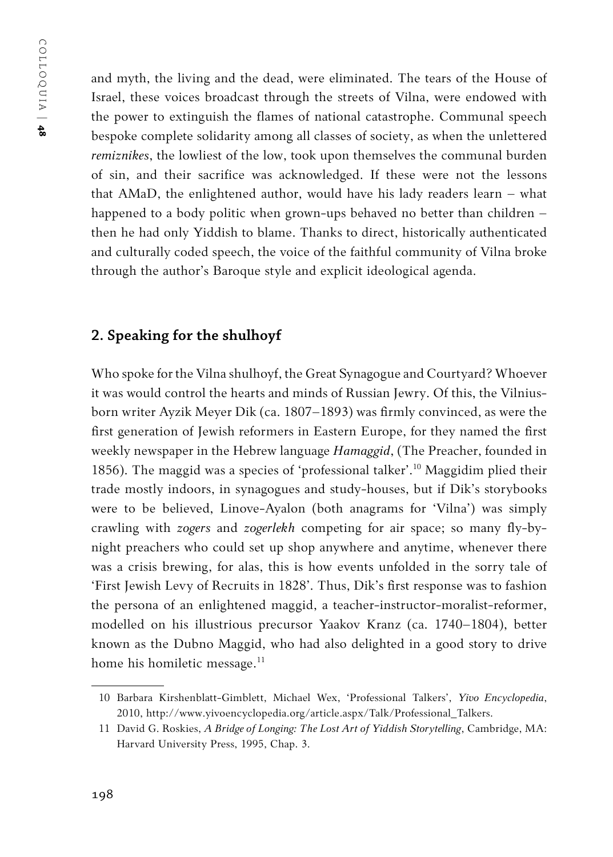and myth, the living and the dead, were eliminated. The tears of the House of Israel, these voices broadcast through the streets of Vilna, were endowed with the power to extinguish the flames of national catastrophe. Communal speech bespoke complete solidarity among all classes of society, as when the unlettered *remiznikes*, the lowliest of the low, took upon themselves the communal burden of sin, and their sacrifice was acknowledged. If these were not the lessons that AMaD, the enlightened author, would have his lady readers learn – what happened to a body politic when grown-ups behaved no better than children – then he had only Yiddish to blame. Thanks to direct, historically authenticated and culturally coded speech, the voice of the faithful community of Vilna broke through the author's Baroque style and explicit ideological agenda.

#### **2. Speaking for the shulhoyf**

Who spoke for the Vilna shulhoyf, the Great Synagogue and Courtyard? Whoever it was would control the hearts and minds of Russian Jewry. Of this, the Vilniusborn writer Ayzik Meyer Dik (ca. 1807–1893) was firmly convinced, as were the first generation of Jewish reformers in Eastern Europe, for they named the first weekly newspaper in the Hebrew language *Hamaggid*, (The Preacher, founded in 1856). The maggid was a species of 'professional talker'.10 Maggidim plied their trade mostly indoors, in synagogues and study-houses, but if Dik's storybooks were to be believed, Linove-Ayalon (both anagrams for 'Vilna') was simply crawling with *zogers* and *zogerlekh* competing for air space; so many fly-bynight preachers who could set up shop anywhere and anytime, whenever there was a crisis brewing, for alas, this is how events unfolded in the sorry tale of 'First Jewish Levy of Recruits in 1828'. Thus, Dik's first response was to fashion the persona of an enlightened maggid, a teacher-instructor-moralist-reformer, modelled on his illustrious precursor Yaakov Kranz (ca. 1740–1804), better known as the Dubno Maggid, who had also delighted in a good story to drive home his homiletic message.<sup>11</sup>

<sup>10</sup> Barbara Kirshenblatt-Gimblett, Michael Wex, 'Professional Talkers', *Yivo Encyclopedia*, 2010, http://www.yivoencyclopedia.org/article.aspx/Talk/Professional\_Talkers.

<sup>11</sup> David G. Roskies, *A Bridge of Longing: The Lost Art of Yiddish Storytelling*, Cambridge, MA: Harvard University Press, 1995, Chap. 3.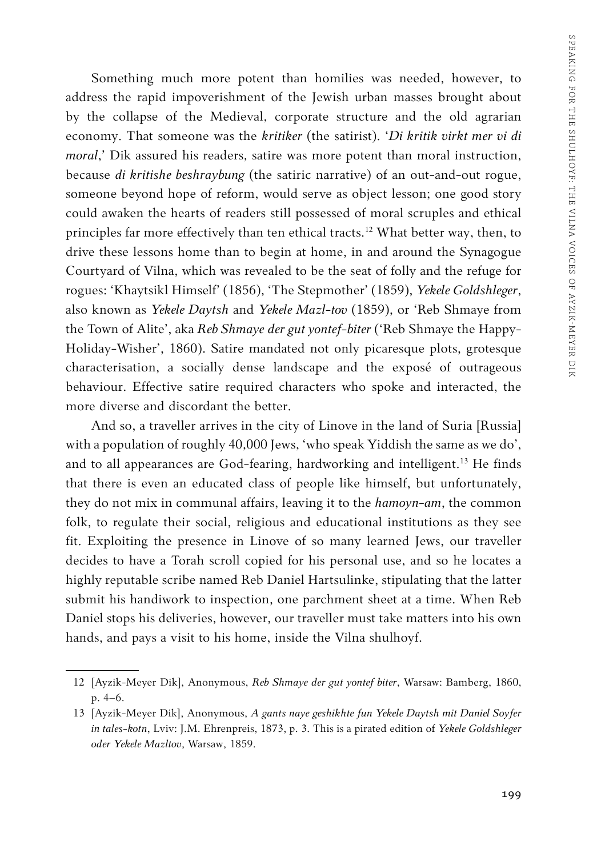Something much more potent than homilies was needed, however, to address the rapid impoverishment of the Jewish urban masses brought about by the collapse of the Medieval, corporate structure and the old agrarian economy. That someone was the *kritiker* (the satirist). '*Di kritik virkt mer vi di moral*,' Dik assured his readers, satire was more potent than moral instruction, because *di kritishe beshraybung* (the satiric narrative) of an out-and-out rogue, someone beyond hope of reform, would serve as object lesson; one good story could awaken the hearts of readers still possessed of moral scruples and ethical principles far more effectively than ten ethical tracts.<sup>12</sup> What better way, then, to drive these lessons home than to begin at home, in and around the Synagogue Courtyard of Vilna, which was revealed to be the seat of folly and the refuge for rogues: 'Khaytsikl Himself' (1856), 'The Stepmother' (1859), *Yekele Goldshleger*, also known as *Yekele Daytsh* and *Yekele Mazl-tov* (1859), or 'Reb Shmaye from the Town of Alite', aka *Reb Shmaye der gut yontef-biter* ('Reb Shmaye the Happy-Holiday-Wisher', 1860). Satire mandated not only picaresque plots, grotesque characterisation, a socially dense landscape and the exposé of outrageous behaviour. Effective satire required characters who spoke and interacted, the more diverse and discordant the better.

And so, a traveller arrives in the city of Linove in the land of Suria [Russia] with a population of roughly 40,000 Jews, 'who speak Yiddish the same as we do', and to all appearances are God-fearing, hardworking and intelligent.<sup>13</sup> He finds that there is even an educated class of people like himself, but unfortunately, they do not mix in communal affairs, leaving it to the *hamoyn-am*, the common folk, to regulate their social, religious and educational institutions as they see fit. Exploiting the presence in Linove of so many learned Jews, our traveller decides to have a Torah scroll copied for his personal use, and so he locates a highly reputable scribe named Reb Daniel Hartsulinke, stipulating that the latter submit his handiwork to inspection, one parchment sheet at a time. When Reb Daniel stops his deliveries, however, our traveller must take matters into his own hands, and pays a visit to his home, inside the Vilna shulhoyf.

<sup>12</sup> [Ayzik-Meyer Dik], Anonymous, *Reb Shmaye der gut yontef biter*, Warsaw: Bamberg, 1860, p. 4–6.

<sup>13</sup> [Ayzik-Meyer Dik], Anonymous, *A gants naye geshikhte fun Yekele Daytsh mit Daniel Soyfer in tales-kotn*, Lviv: J.M. Ehrenpreis, 1873, p. 3. This is a pirated edition of *Yekele Goldshleger oder Yekele Mazltov*, Warsaw, 1859.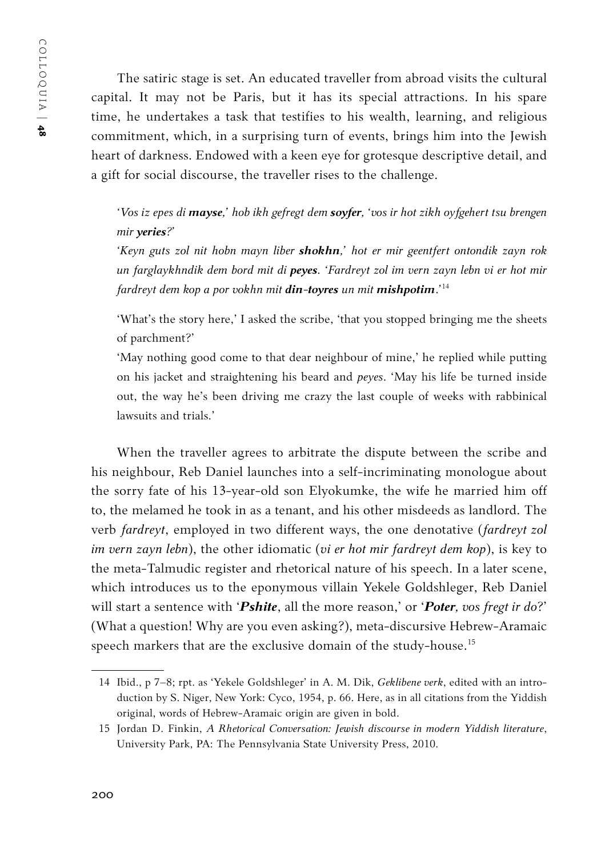The satiric stage is set. An educated traveller from abroad visits the cultural capital. It may not be Paris, but it has its special attractions. In his spare time, he undertakes a task that testifies to his wealth, learning, and religious commitment, which, in a surprising turn of events, brings him into the Jewish heart of darkness. Endowed with a keen eye for grotesque descriptive detail, and a gift for social discourse, the traveller rises to the challenge.

*'Vos iz epes di mayse,' hob ikh gefregt dem soyfer, 'vos ir hot zikh oyfgehert tsu brengen mir yeries?'*

*'Keyn guts zol nit hobn mayn liber shokhn,' hot er mir geentfert ontondik zayn rok un farglaykhndik dem bord mit di peyes. 'Fardreyt zol im vern zayn lebn vi er hot mir fardreyt dem kop a por vokhn mit din-toyres un mit mishpotim*.*'* 14

'What's the story here,' I asked the scribe, 'that you stopped bringing me the sheets of parchment?'

'May nothing good come to that dear neighbour of mine,' he replied while putting on his jacket and straightening his beard and *peyes*. 'May his life be turned inside out, the way he's been driving me crazy the last couple of weeks with rabbinical lawsuits and trials<sup>'</sup>

When the traveller agrees to arbitrate the dispute between the scribe and his neighbour, Reb Daniel launches into a self-incriminating monologue about the sorry fate of his 13-year-old son Elyokumke, the wife he married him off to, the melamed he took in as a tenant, and his other misdeeds as landlord. The verb *fardreyt*, employed in two different ways, the one denotative (*fardreyt zol im vern zayn lebn*), the other idiomatic (*vi er hot mir fardreyt dem kop*), is key to the meta-Talmudic register and rhetorical nature of his speech. In a later scene, which introduces us to the eponymous villain Yekele Goldshleger, Reb Daniel will start a sentence with '*Pshite*, all the more reason,' or '*Poter, vos fregt ir do*?' (What a question! Why are you even asking?), meta-discursive Hebrew-Aramaic speech markers that are the exclusive domain of the study-house.15

<sup>14</sup> Ibid., p 7–8; rpt. as 'Yekele Goldshleger' in A. M. Dik, *Geklibene verk*, edited with an introduction by S. Niger, New York: Cyco, 1954, p. 66. Here, as in all citations from the Yiddish original, words of Hebrew-Aramaic origin are given in bold.

<sup>15</sup> Jordan D. Finkin, *A Rhetorical Conversation: Jewish discourse in modern Yiddish literature*, University Park, PA: The Pennsylvania State University Press, 2010.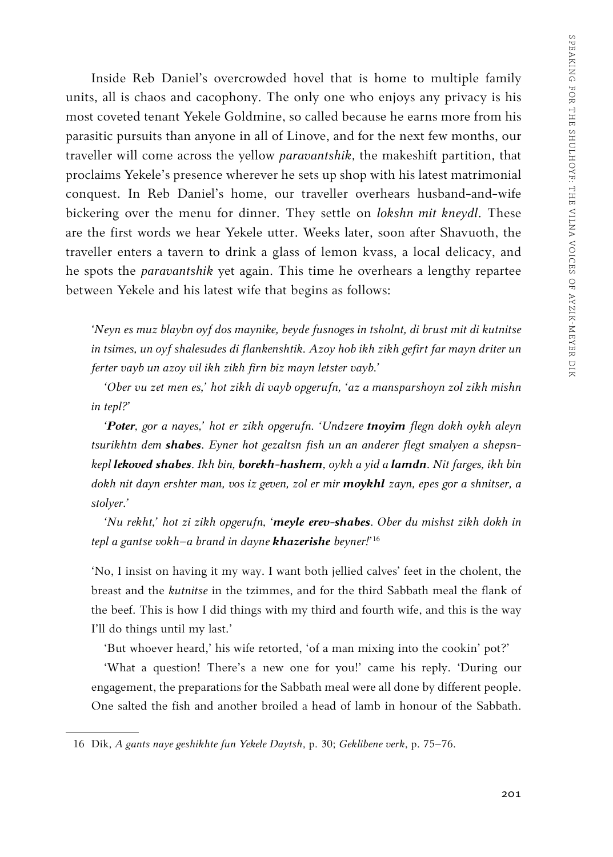Inside Reb Daniel's overcrowded hovel that is home to multiple family units, all is chaos and cacophony. The only one who enjoys any privacy is his most coveted tenant Yekele Goldmine, so called because he earns more from his parasitic pursuits than anyone in all of Linove, and for the next few months, our traveller will come across the yellow *paravantshik*, the makeshift partition, that proclaims Yekele's presence wherever he sets up shop with his latest matrimonial conquest. In Reb Daniel's home, our traveller overhears husband-and-wife bickering over the menu for dinner. They settle on *lokshn mit kneydl*. These are the first words we hear Yekele utter. Weeks later, soon after Shavuoth, the traveller enters a tavern to drink a glass of lemon kvass, a local delicacy, and he spots the *paravantshik* yet again. This time he overhears a lengthy repartee between Yekele and his latest wife that begins as follows:

*'Neyn es muz blaybn oyf dos maynike, beyde fusnoges in tsholnt, di brust mit di kutnitse in tsimes, un oyf shalesudes di flankenshtik. Azoy hob ikh zikh gefirt far mayn driter un ferter vayb un azoy vil ikh zikh firn biz mayn letster vayb.'*

*'Ober vu zet men es,' hot zikh di vayb opgerufn, 'az a mansparshoyn zol zikh mishn in tepl?'*

*'Poter, gor a nayes,' hot er zikh opgerufn. 'Undzere tnoyim flegn dokh oykh aleyn tsurikhtn dem shabes. Eyner hot gezaltsn fish un an anderer flegt smalyen a shepsnkepl lekoved shabes. Ikh bin, borekh-hashem, oykh a yid a lamdn. Nit farges, ikh bin dokh nit dayn ershter man, vos iz geven, zol er mir moykhl zayn, epes gor a shnitser, a stolyer.'*

*'Nu rekht,' hot zi zikh opgerufn, 'meyle erev-shabes. Ober du mishst zikh dokh in tepl a gantse vokh–a brand in dayne khazerishe beyner!'*<sup>16</sup>

'No, I insist on having it my way. I want both jellied calves' feet in the cholent, the breast and the *kutnitse* in the tzimmes, and for the third Sabbath meal the flank of the beef. This is how I did things with my third and fourth wife, and this is the way I'll do things until my last.'

'But whoever heard,' his wife retorted, 'of a man mixing into the cookin' pot?'

'What a question! There's a new one for you!' came his reply. 'During our engagement, the preparations for the Sabbath meal were all done by different people. One salted the fish and another broiled a head of lamb in honour of the Sabbath.

<sup>16</sup> Dik, *A gants naye geshikhte fun Yekele Daytsh*, p. 30; *Geklibene verk*, p. 75–76.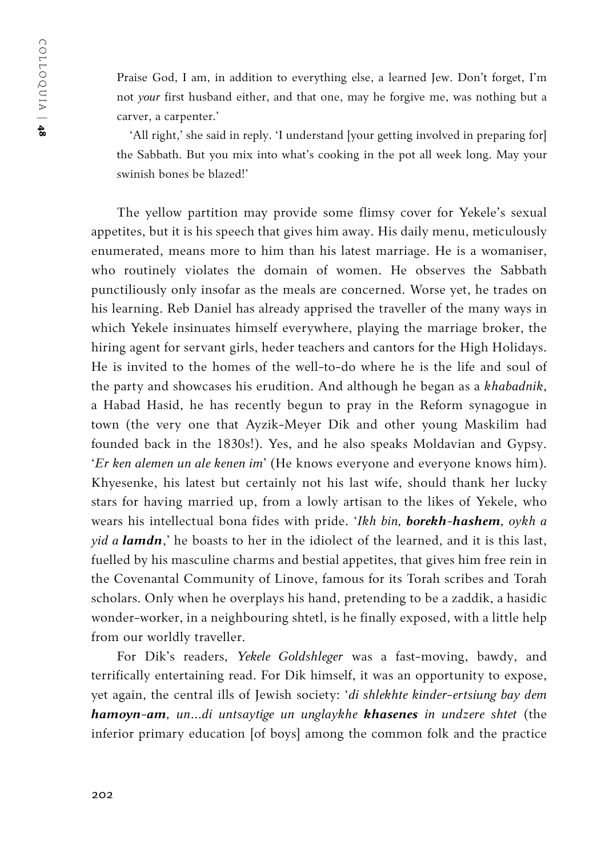Praise God, I am, in addition to everything else, a learned Jew. Don't forget, I'm not *your* first husband either, and that one, may he forgive me, was nothing but a carver, a carpenter.'

'All right,' she said in reply. 'I understand [your getting involved in preparing for] the Sabbath. But you mix into what's cooking in the pot all week long. May your swinish bones be blazed!'

The yellow partition may provide some flimsy cover for Yekele's sexual appetites, but it is his speech that gives him away. His daily menu, meticulously enumerated, means more to him than his latest marriage. He is a womaniser, who routinely violates the domain of women. He observes the Sabbath punctiliously only insofar as the meals are concerned. Worse yet, he trades on his learning. Reb Daniel has already apprised the traveller of the many ways in which Yekele insinuates himself everywhere, playing the marriage broker, the hiring agent for servant girls, heder teachers and cantors for the High Holidays. He is invited to the homes of the well-to-do where he is the life and soul of the party and showcases his erudition. And although he began as a *khabadnik*, a Habad Hasid, he has recently begun to pray in the Reform synagogue in town (the very one that Ayzik-Meyer Dik and other young Maskilim had founded back in the 1830s!). Yes, and he also speaks Moldavian and Gypsy. '*Er ken alemen un ale kenen im*' (He knows everyone and everyone knows him). Khyesenke, his latest but certainly not his last wife, should thank her lucky stars for having married up, from a lowly artisan to the likes of Yekele, who wears his intellectual bona fides with pride. '*Ikh bin, borekh-hashem, oykh a yid a lamdn*,' he boasts to her in the idiolect of the learned, and it is this last, fuelled by his masculine charms and bestial appetites, that gives him free rein in the Covenantal Community of Linove, famous for its Torah scribes and Torah scholars. Only when he overplays his hand, pretending to be a zaddik, a hasidic wonder-worker, in a neighbouring shtetl, is he finally exposed, with a little help from our worldly traveller.

For Dik's readers, *Yekele Goldshleger* was a fast-moving, bawdy, and terrifically entertaining read. For Dik himself, it was an opportunity to expose, yet again, the central ills of Jewish society: '*di shlekhte kinder-ertsiung bay dem hamoyn-am, un…di untsaytige un unglaykhe khasenes in undzere shtet* (the inferior primary education [of boys] among the common folk and the practice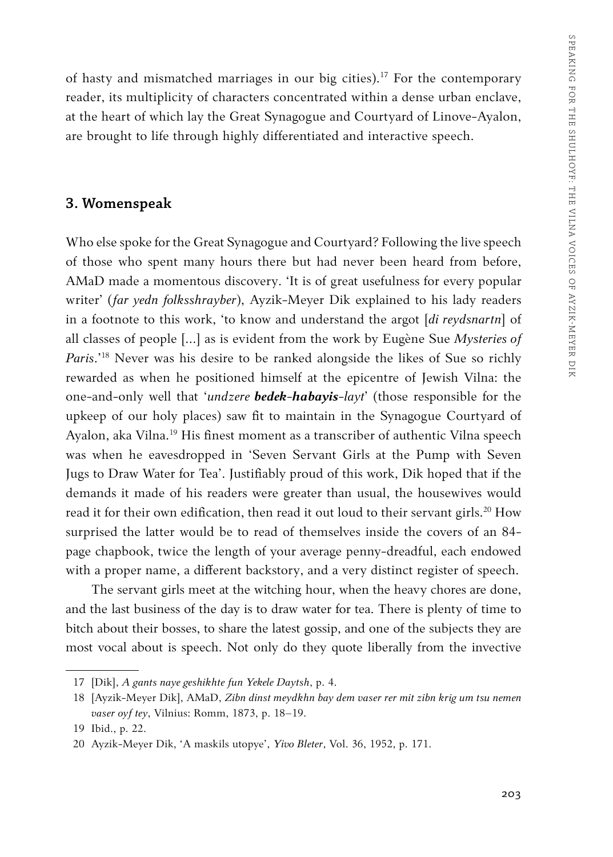of hasty and mismatched marriages in our big cities).<sup>17</sup> For the contemporary reader, its multiplicity of characters concentrated within a dense urban enclave, at the heart of which lay the Great Synagogue and Courtyard of Linove-Ayalon, are brought to life through highly differentiated and interactive speech.

#### **3. Womenspeak**

Who else spoke for the Great Synagogue and Courtyard? Following the live speech of those who spent many hours there but had never been heard from before, AMaD made a momentous discovery. 'It is of great usefulness for every popular writer' (*far yedn folksshrayber*), Ayzik-Meyer Dik explained to his lady readers in a footnote to this work, 'to know and understand the argot [*di reydsnartn*] of all classes of people […] as is evident from the work by Eugène Sue *Mysteries of Paris*.'18 Never was his desire to be ranked alongside the likes of Sue so richly rewarded as when he positioned himself at the epicentre of Jewish Vilna: the one-and-only well that '*undzere bedek-habayis-layt*' (those responsible for the upkeep of our holy places) saw fit to maintain in the Synagogue Courtyard of Ayalon, aka Vilna.<sup>19</sup> His finest moment as a transcriber of authentic Vilna speech was when he eavesdropped in 'Seven Servant Girls at the Pump with Seven Jugs to Draw Water for Tea'. Justifiably proud of this work, Dik hoped that if the demands it made of his readers were greater than usual, the housewives would read it for their own edification, then read it out loud to their servant girls.<sup>20</sup> How surprised the latter would be to read of themselves inside the covers of an 84 page chapbook, twice the length of your average penny-dreadful, each endowed with a proper name, a different backstory, and a very distinct register of speech.

The servant girls meet at the witching hour, when the heavy chores are done, and the last business of the day is to draw water for tea. There is plenty of time to bitch about their bosses, to share the latest gossip, and one of the subjects they are most vocal about is speech. Not only do they quote liberally from the invective

<sup>17</sup> [Dik], *A gants naye geshikhte fun Yekele Daytsh*, p. 4.

<sup>18</sup> [Ayzik-Meyer Dik], AMaD, *Zibn dinst meydkhn bay dem vaser rer mit zibn krig um tsu nemen vaser oyf tey*, Vilnius: Romm, 1873, p. 18–19.

<sup>19</sup> Ibid., p. 22.

<sup>20</sup> Ayzik-Meyer Dik, 'A maskils utopye', *Yivo Bleter*, Vol. 36, 1952, p. 171.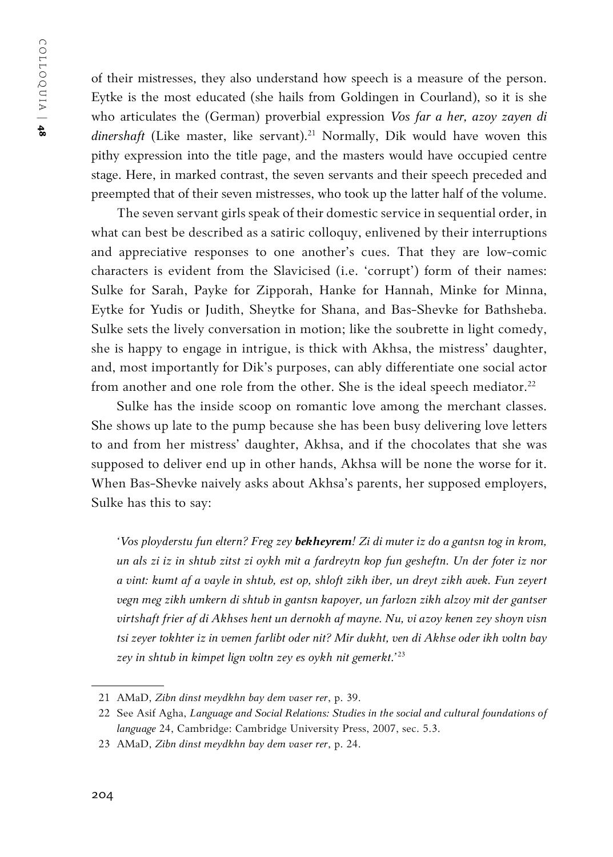of their mistresses, they also understand how speech is a measure of the person. Eytke is the most educated (she hails from Goldingen in Courland), so it is she who articulates the (German) proverbial expression *Vos far a her, azoy zayen di*  dinershaft (Like master, like servant).<sup>21</sup> Normally, Dik would have woven this pithy expression into the title page, and the masters would have occupied centre stage. Here, in marked contrast, the seven servants and their speech preceded and preempted that of their seven mistresses, who took up the latter half of the volume.

The seven servant girls speak of their domestic service in sequential order, in what can best be described as a satiric colloquy, enlivened by their interruptions and appreciative responses to one another's cues. That they are low-comic characters is evident from the Slavicised (i.e. 'corrupt') form of their names: Sulke for Sarah, Payke for Zipporah, Hanke for Hannah, Minke for Minna, Eytke for Yudis or Judith, Sheytke for Shana, and Bas-Shevke for Bathsheba. Sulke sets the lively conversation in motion; like the soubrette in light comedy, she is happy to engage in intrigue, is thick with Akhsa, the mistress' daughter, and, most importantly for Dik's purposes, can ably differentiate one social actor from another and one role from the other. She is the ideal speech mediator.<sup>22</sup>

Sulke has the inside scoop on romantic love among the merchant classes. She shows up late to the pump because she has been busy delivering love letters to and from her mistress' daughter, Akhsa, and if the chocolates that she was supposed to deliver end up in other hands, Akhsa will be none the worse for it. When Bas-Shevke naively asks about Akhsa's parents, her supposed employers, Sulke has this to say:

*'Vos ployderstu fun eltern? Freg zey bekheyrem! Zi di muter iz do a gantsn tog in krom, un als zi iz in shtub zitst zi oykh mit a fardreytn kop fun gesheftn. Un der foter iz nor a vint: kumt af a vayle in shtub, est op, shloft zikh iber, un dreyt zikh avek. Fun zeyert vegn meg zikh umkern di shtub in gantsn kapoyer, un farlozn zikh alzoy mit der gantser virtshaft frier af di Akhses hent un dernokh af mayne. Nu, vi azoy kenen zey shoyn visn tsi zeyer tokhter iz in vemen farlibt oder nit? Mir dukht, ven di Akhse oder ikh voltn bay zey in shtub in kimpet lign voltn zey es oykh nit gemerkt.'*<sup>23</sup>

<sup>21</sup> AMaD, *Zibn dinst meydkhn bay dem vaser rer*, p. 39.

<sup>22</sup> See Asif Agha, *Language and Social Relations: Studies in the social and cultural foundations of language* 24, Cambridge: Cambridge University Press, 2007, sec. 5.3.

<sup>23</sup> AMaD, *Zibn dinst meydkhn bay dem vaser rer*, p. 24.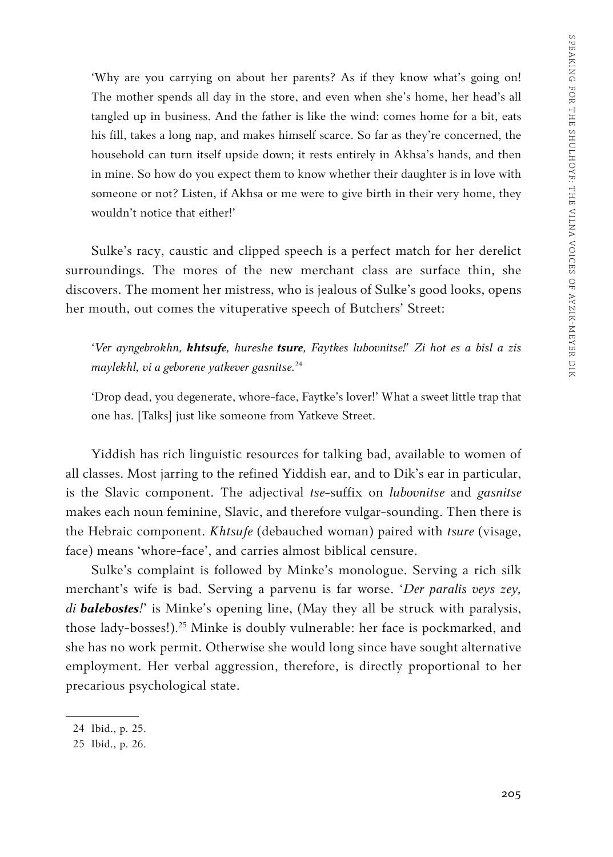'Why are you carrying on about her parents? As if they know what's going on! The mother spends all day in the store, and even when she's home, her head's all tangled up in business. And the father is like the wind: comes home for a bit, eats his fill, takes a long nap, and makes himself scarce. So far as they're concerned, the household can turn itself upside down; it rests entirely in Akhsa's hands, and then in mine. So how do you expect them to know whether their daughter is in love with someone or not? Listen, if Akhsa or me were to give birth in their very home, they wouldn't notice that either!'

Sulke's racy, caustic and clipped speech is a perfect match for her derelict surroundings. The mores of the new merchant class are surface thin, she discovers. The moment her mistress, who is jealous of Sulke's good looks, opens her mouth, out comes the vituperative speech of Butchers' Street:

*'Ver ayngebrokhn, khtsufe, hureshe tsure, Faytkes lubovnitse!' Zi hot es a bisl a zis maylekhl, vi a geborene yatkever gasnitse.* 24

'Drop dead, you degenerate, whore-face, Faytke's lover!' What a sweet little trap that one has. [Talks] just like someone from Yatkeve Street.

Yiddish has rich linguistic resources for talking bad, available to women of all classes. Most jarring to the refined Yiddish ear, and to Dik's ear in particular, is the Slavic component. The adjectival *tse*-suffix on *lubovnitse* and *gasnitse* makes each noun feminine, Slavic, and therefore vulgar-sounding. Then there is the Hebraic component. *Khtsufe* (debauched woman) paired with *tsure* (visage, face) means 'whore-face', and carries almost biblical censure.

Sulke's complaint is followed by Minke's monologue. Serving a rich silk merchant's wife is bad. Serving a parvenu is far worse. '*Der paralis veys zey, di balebostes!*' is Minke's opening line, (May they all be struck with paralysis, those lady-bosses!).<sup>25</sup> Minke is doubly vulnerable: her face is pockmarked, and she has no work permit. Otherwise she would long since have sought alternative employment. Her verbal aggression, therefore, is directly proportional to her precarious psychological state.

<sup>24</sup> Ibid., p. 25.

<sup>25</sup> Ibid., p. 26.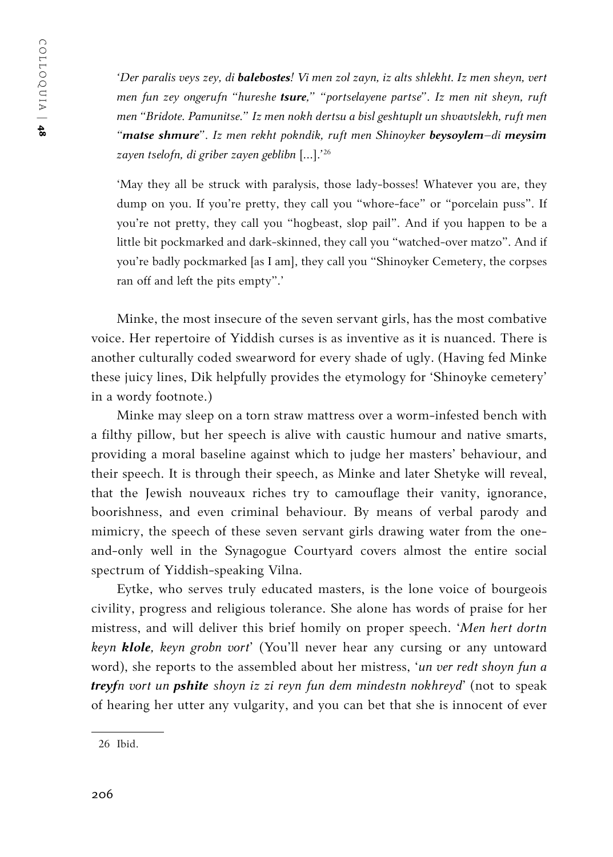*'Der paralis veys zey, di balebostes! Vi men zol zayn, iz alts shlekht. Iz men sheyn, vert men fun zey ongerufn "hureshe tsure," "portselayene partse". Iz men nit sheyn, ruft men "Bridote. Pamunitse." Iz men nokh dertsu a bisl geshtuplt un shvavtslekh, ruft men "matse shmure". Iz men rekht pokndik, ruft men Shinoyker beysoylem–di meysim zayen tselofn, di griber zayen geblibn* [*…*].*'* 26

'May they all be struck with paralysis, those lady-bosses! Whatever you are, they dump on you. If you're pretty, they call you "whore-face" or "porcelain puss". If you're not pretty, they call you "hogbeast, slop pail". And if you happen to be a little bit pockmarked and dark-skinned, they call you "watched-over matzo". And if you're badly pockmarked [as I am], they call you "Shinoyker Cemetery, the corpses ran off and left the pits empty".'

Minke, the most insecure of the seven servant girls, has the most combative voice. Her repertoire of Yiddish curses is as inventive as it is nuanced. There is another culturally coded swearword for every shade of ugly. (Having fed Minke these juicy lines, Dik helpfully provides the etymology for 'Shinoyke cemetery' in a wordy footnote.)

Minke may sleep on a torn straw mattress over a worm-infested bench with a filthy pillow, but her speech is alive with caustic humour and native smarts, providing a moral baseline against which to judge her masters' behaviour, and their speech. It is through their speech, as Minke and later Shetyke will reveal, that the Jewish nouveaux riches try to camouflage their vanity, ignorance, boorishness, and even criminal behaviour. By means of verbal parody and mimicry, the speech of these seven servant girls drawing water from the oneand-only well in the Synagogue Courtyard covers almost the entire social spectrum of Yiddish-speaking Vilna.

Eytke, who serves truly educated masters, is the lone voice of bourgeois civility, progress and religious tolerance. She alone has words of praise for her mistress, and will deliver this brief homily on proper speech. '*Men hert dortn keyn klole, keyn grobn vort*' (You'll never hear any cursing or any untoward word), she reports to the assembled about her mistress, '*un ver redt shoyn fun a treyfn vort un pshite shoyn iz zi reyn fun dem mindestn nokhreyd*' (not to speak of hearing her utter any vulgarity, and you can bet that she is innocent of ever

<sup>26</sup> Ibid.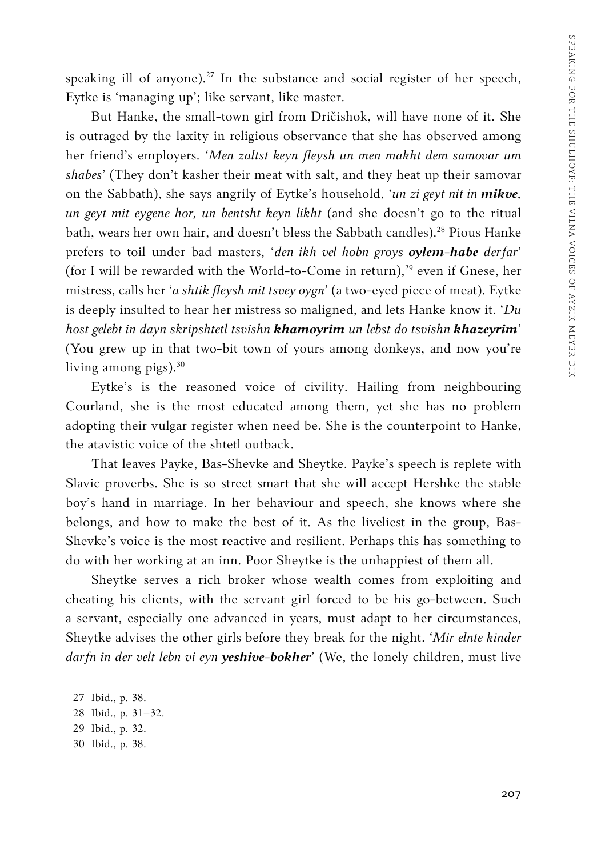speaking ill of anyone).<sup>27</sup> In the substance and social register of her speech, Eytke is 'managing up'; like servant, like master.

But Hanke, the small-town girl from Dričishok, will have none of it. She is outraged by the laxity in religious observance that she has observed among her friend's employers. '*Men zaltst keyn fleysh un men makht dem samovar um shabes*' (They don't kasher their meat with salt, and they heat up their samovar on the Sabbath), she says angrily of Eytke's household, '*un zi geyt nit in mikve, un geyt mit eygene hor, un bentsht keyn likht* (and she doesn't go to the ritual bath, wears her own hair, and doesn't bless the Sabbath candles).<sup>28</sup> Pious Hanke prefers to toil under bad masters, '*den ikh vel hobn groys oylem-habe derfar*' (for I will be rewarded with the World-to-Come in return),<sup>29</sup> even if Gnese, her mistress, calls her '*a shtik fleysh mit tsvey oygn*' (a two-eyed piece of meat). Eytke is deeply insulted to hear her mistress so maligned, and lets Hanke know it. '*Du host gelebt in dayn skripshtetl tsvishn khamoyrim un lebst do tsvishn khazeyrim*' (You grew up in that two-bit town of yours among donkeys, and now you're living among pigs). $30$ 

Eytke's is the reasoned voice of civility. Hailing from neighbouring Courland, she is the most educated among them, yet she has no problem adopting their vulgar register when need be. She is the counterpoint to Hanke, the atavistic voice of the shtetl outback.

That leaves Payke, Bas-Shevke and Sheytke. Payke's speech is replete with Slavic proverbs. She is so street smart that she will accept Hershke the stable boy's hand in marriage. In her behaviour and speech, she knows where she belongs, and how to make the best of it. As the liveliest in the group, Bas-Shevke's voice is the most reactive and resilient. Perhaps this has something to do with her working at an inn. Poor Sheytke is the unhappiest of them all.

Sheytke serves a rich broker whose wealth comes from exploiting and cheating his clients, with the servant girl forced to be his go-between. Such a servant, especially one advanced in years, must adapt to her circumstances, Sheytke advises the other girls before they break for the night. '*Mir elnte kinder darfn in der velt lebn vi eyn yeshive-bokher*' (We, the lonely children, must live

<sup>27</sup> Ibid., p. 38.

<sup>28</sup> Ibid., p. 31–32.

<sup>29</sup> Ibid., p. 32.

<sup>30</sup> Ibid., p. 38.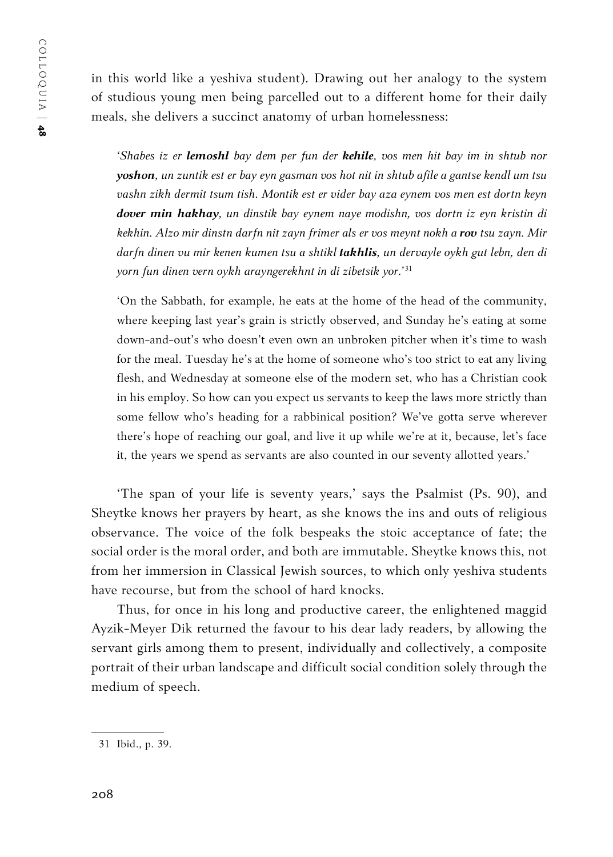in this world like a yeshiva student). Drawing out her analogy to the system of studious young men being parcelled out to a different home for their daily meals, she delivers a succinct anatomy of urban homelessness:

*'Shabes iz er lemoshl bay dem per fun der kehile, vos men hit bay im in shtub nor yoshon, un zuntik est er bay eyn gasman vos hot nit in shtub afile a gantse kendl um tsu vashn zikh dermit tsum tish. Montik est er vider bay aza eynem vos men est dortn keyn dover min hakhay, un dinstik bay eynem naye modishn, vos dortn iz eyn kristin di kekhin. Alzo mir dinstn darfn nit zayn frimer als er vos meynt nokh a rov tsu zayn. Mir darfn dinen vu mir kenen kumen tsu a shtikl takhlis, un dervayle oykh gut lebn, den di yorn fun dinen vern oykh arayngerekhnt in di zibetsik yor.'*<sup>31</sup>

'On the Sabbath, for example, he eats at the home of the head of the community, where keeping last year's grain is strictly observed, and Sunday he's eating at some down-and-out's who doesn't even own an unbroken pitcher when it's time to wash for the meal. Tuesday he's at the home of someone who's too strict to eat any living flesh, and Wednesday at someone else of the modern set, who has a Christian cook in his employ. So how can you expect us servants to keep the laws more strictly than some fellow who's heading for a rabbinical position? We've gotta serve wherever there's hope of reaching our goal, and live it up while we're at it, because, let's face it, the years we spend as servants are also counted in our seventy allotted years.'

'The span of your life is seventy years,' says the Psalmist (Ps. 90), and Sheytke knows her prayers by heart, as she knows the ins and outs of religious observance. The voice of the folk bespeaks the stoic acceptance of fate; the social order is the moral order, and both are immutable. Sheytke knows this, not from her immersion in Classical Jewish sources, to which only yeshiva students have recourse, but from the school of hard knocks.

Thus, for once in his long and productive career, the enlightened maggid Ayzik-Meyer Dik returned the favour to his dear lady readers, by allowing the servant girls among them to present, individually and collectively, a composite portrait of their urban landscape and difficult social condition solely through the medium of speech.

<sup>31</sup> Ibid., p. 39.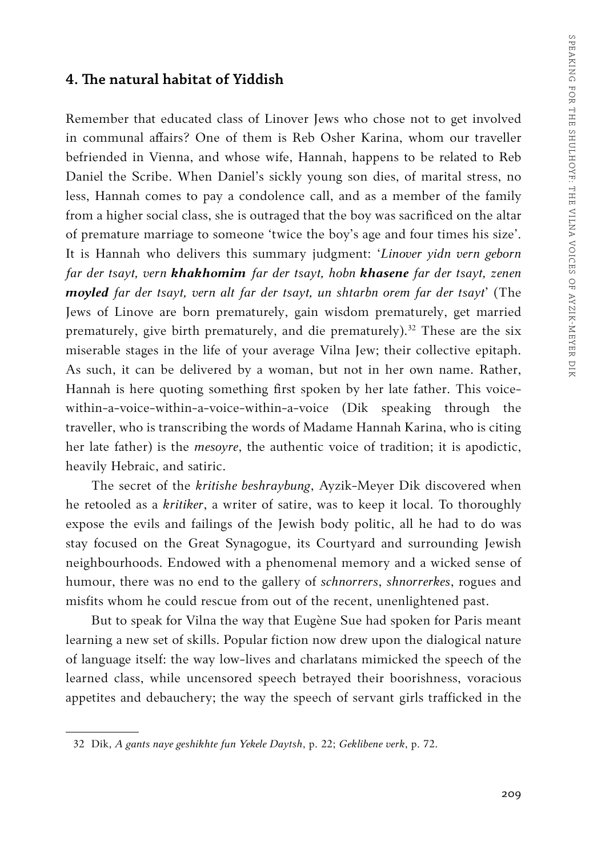#### **4. The natural habitat of Yiddish**

Remember that educated class of Linover Jews who chose not to get involved in communal affairs? One of them is Reb Osher Karina, whom our traveller befriended in Vienna, and whose wife, Hannah, happens to be related to Reb Daniel the Scribe. When Daniel's sickly young son dies, of marital stress, no less, Hannah comes to pay a condolence call, and as a member of the family from a higher social class, she is outraged that the boy was sacrificed on the altar of premature marriage to someone 'twice the boy's age and four times his size'. It is Hannah who delivers this summary judgment: '*Linover yidn vern geborn far der tsayt, vern khakhomim far der tsayt, hobn khasene far der tsayt, zenen moyled far der tsayt, vern alt far der tsayt, un shtarbn orem far der tsayt*' (The Jews of Linove are born prematurely, gain wisdom prematurely, get married prematurely, give birth prematurely, and die prematurely).<sup>32</sup> These are the six miserable stages in the life of your average Vilna Jew; their collective epitaph. As such, it can be delivered by a woman, but not in her own name. Rather, Hannah is here quoting something first spoken by her late father. This voicewithin-a-voice-within-a-voice-within-a-voice (Dik speaking through the traveller, who is transcribing the words of Madame Hannah Karina, who is citing her late father) is the *mesoyre*, the authentic voice of tradition; it is apodictic, heavily Hebraic, and satiric.

The secret of the *kritishe beshraybung*, Ayzik-Meyer Dik discovered when he retooled as a *kritiker*, a writer of satire, was to keep it local. To thoroughly expose the evils and failings of the Jewish body politic, all he had to do was stay focused on the Great Synagogue, its Courtyard and surrounding Jewish neighbourhoods. Endowed with a phenomenal memory and a wicked sense of humour, there was no end to the gallery of *schnorrers*, *shnorrerkes*, rogues and misfits whom he could rescue from out of the recent, unenlightened past.

But to speak for Vilna the way that Eugène Sue had spoken for Paris meant learning a new set of skills. Popular fiction now drew upon the dialogical nature of language itself: the way low-lives and charlatans mimicked the speech of the learned class, while uncensored speech betrayed their boorishness, voracious appetites and debauchery; the way the speech of servant girls trafficked in the

<sup>32</sup> Dik, *A gants naye geshikhte fun Yekele Daytsh*, p. 22; *Geklibene verk*, p. 72.